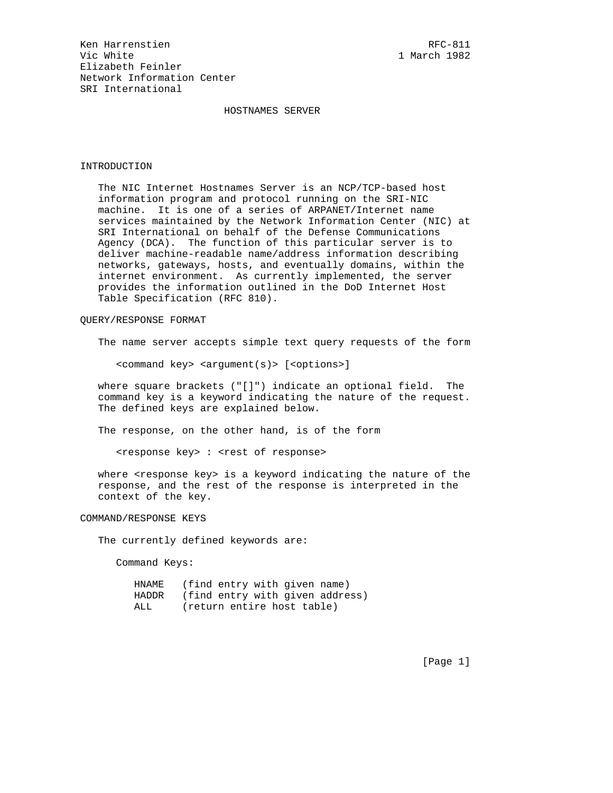Ken Harrenstien and European RFC-811 Vic White 1 March 1982 Elizabeth Feinler Network Information Center SRI International

# HOSTNAMES SERVER

### INTRODUCTION

 The NIC Internet Hostnames Server is an NCP/TCP-based host information program and protocol running on the SRI-NIC machine. It is one of a series of ARPANET/Internet name services maintained by the Network Information Center (NIC) at SRI International on behalf of the Defense Communications Agency (DCA). The function of this particular server is to deliver machine-readable name/address information describing networks, gateways, hosts, and eventually domains, within the internet environment. As currently implemented, the server provides the information outlined in the DoD Internet Host Table Specification (RFC 810).

# QUERY/RESPONSE FORMAT

The name server accepts simple text query requests of the form

<command key> <argument(s)> [<options>]

 where square brackets ("[]") indicate an optional field. The command key is a keyword indicating the nature of the request. The defined keys are explained below.

The response, on the other hand, is of the form

<response key> : <rest of response>

where <response key> is a keyword indicating the nature of the response, and the rest of the response is interpreted in the context of the key.

COMMAND/RESPONSE KEYS

The currently defined keywords are:

Command Keys:

| HNAME | (find entry with given name)    |
|-------|---------------------------------|
| HADDR | (find entry with given address) |
| ALL   | (return entire host table)      |

[Page 1]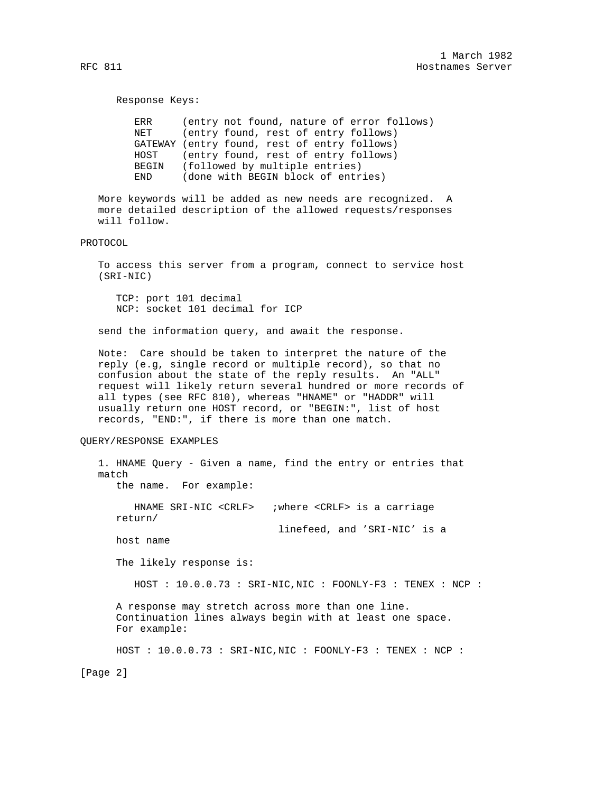#### Response Keys:

 ERR (entry not found, nature of error follows) NET (entry found, rest of entry follows) GATEWAY (entry found, rest of entry follows) HOST (entry found, rest of entry follows) BEGIN (followed by multiple entries) END (done with BEGIN block of entries)

 More keywords will be added as new needs are recognized. A more detailed description of the allowed requests/responses will follow.

### PROTOCOL

 To access this server from a program, connect to service host (SRI-NIC)

 TCP: port 101 decimal NCP: socket 101 decimal for ICP

send the information query, and await the response.

 Note: Care should be taken to interpret the nature of the reply (e.g, single record or multiple record), so that no confusion about the state of the reply results. An "ALL" request will likely return several hundred or more records of all types (see RFC 810), whereas "HNAME" or "HADDR" will usually return one HOST record, or "BEGIN:", list of host records, "END:", if there is more than one match.

# QUERY/RESPONSE EXAMPLES

 1. HNAME Query - Given a name, find the entry or entries that match the name. For example: HNAME SRI-NIC <CRLF> ;where <CRLF> is a carriage return/ linefeed, and 'SRI-NIC' is a host name The likely response is: HOST : 10.0.0.73 : SRI-NIC,NIC : FOONLY-F3 : TENEX : NCP : A response may stretch across more than one line. Continuation lines always begin with at least one space. For example: HOST : 10.0.0.73 : SRI-NIC,NIC : FOONLY-F3 : TENEX : NCP :

[Page 2]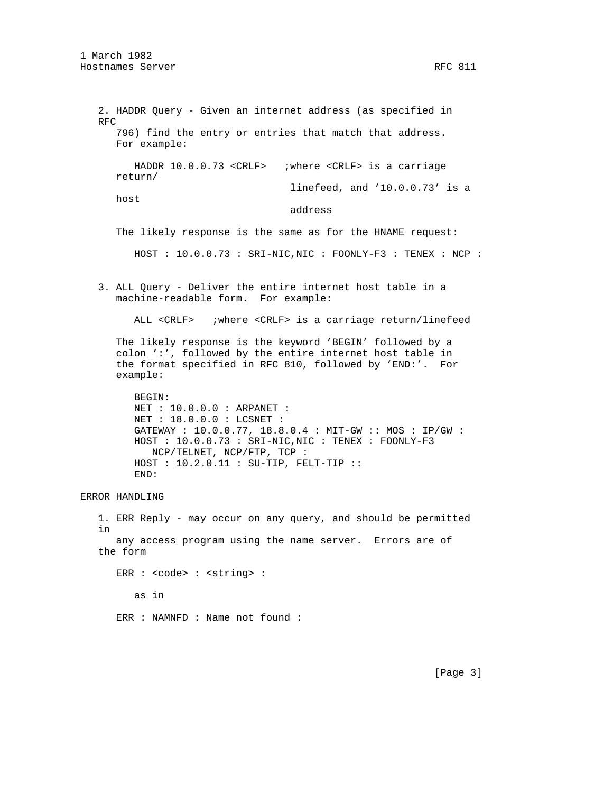2. HADDR Query - Given an internet address (as specified in RFC 796) find the entry or entries that match that address. For example: HADDR 10.0.0.73 <CRLF> ;where <CRLF> is a carriage return/ linefeed, and '10.0.0.73' is a host address The likely response is the same as for the HNAME request: HOST : 10.0.0.73 : SRI-NIC,NIC : FOONLY-F3 : TENEX : NCP : 3. ALL Query - Deliver the entire internet host table in a machine-readable form. For example: ALL <CRLF> ;where <CRLF> is a carriage return/linefeed The likely response is the keyword 'BEGIN' followed by a colon ':', followed by the entire internet host table in the format specified in RFC 810, followed by 'END:'. For example: BEGIN: NET : 10.0.0.0 : ARPANET : NET : 18.0.0.0 : LCSNET : GATEWAY : 10.0.0.77, 18.8.0.4 : MIT-GW :: MOS : IP/GW : HOST : 10.0.0.73 : SRI-NIC,NIC : TENEX : FOONLY-F3 NCP/TELNET, NCP/FTP, TCP : HOST : 10.2.0.11 : SU-TIP, FELT-TIP :: END: ERROR HANDLING 1. ERR Reply - may occur on any query, and should be permitted in any access program using the name server. Errors are of

ERR : < code> : < string> : as in ERR : NAMNFD : Name not found :

the form

[Page 3]